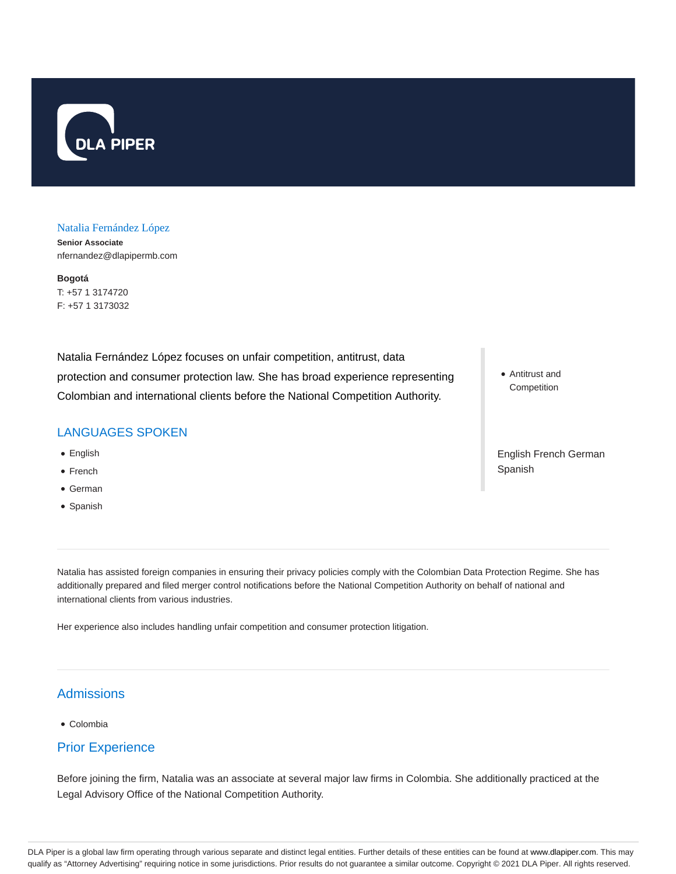

#### Natalia Fernández López

**Senior Associate** nfernandez@dlapipermb.com

**Bogotá** T: +57 1 3174720 F: +57 1 3173032

Natalia Fernández López focuses on unfair competition, antitrust, data protection and consumer protection law. She has broad experience representing Colombian and international clients before the National Competition Authority.

### LANGUAGES SPOKEN

- English
- French
- German
- Spanish

Antitrust and Competition

English French German Spanish

Natalia has assisted foreign companies in ensuring their privacy policies comply with the Colombian Data Protection Regime. She has additionally prepared and filed merger control notifications before the National Competition Authority on behalf of national and international clients from various industries.

Her experience also includes handling unfair competition and consumer protection litigation.

# **Admissions**

Colombia

### Prior Experience

Before joining the firm, Natalia was an associate at several major law firms in Colombia. She additionally practiced at the Legal Advisory Office of the National Competition Authority.

DLA Piper is a global law firm operating through various separate and distinct legal entities. Further details of these entities can be found at www.dlapiper.com. This may qualify as "Attorney Advertising" requiring notice in some jurisdictions. Prior results do not guarantee a similar outcome. Copyright © 2021 DLA Piper. All rights reserved.